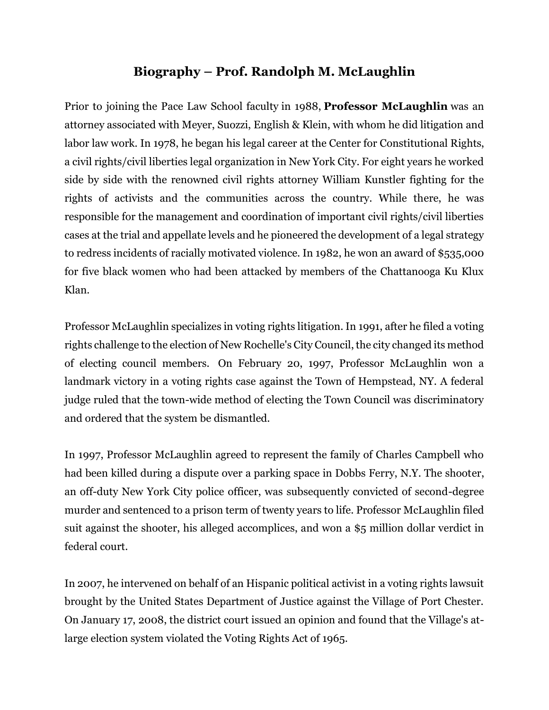## **Biography – Prof. Randolph M. McLaughlin**

Prior to joining the Pace Law School faculty in 1988, **Professor McLaughlin** was an attorney associated with Meyer, Suozzi, English & Klein, with whom he did litigation and labor law work. In 1978, he began his legal career at the Center for Constitutional Rights, a civil rights/civil liberties legal organization in New York City. For eight years he worked side by side with the renowned civil rights attorney William Kunstler fighting for the rights of activists and the communities across the country. While there, he was responsible for the management and coordination of important civil rights/civil liberties cases at the trial and appellate levels and he pioneered the development of a legal strategy to redress incidents of racially motivated violence. In 1982, he won an award of \$535,000 for five black women who had been attacked by members of the Chattanooga Ku Klux Klan.

Professor McLaughlin specializes in voting rights litigation. In 1991, after he filed a voting rights challenge to the election of New Rochelle's City Council, the city changed its method of electing council members. On February 20, 1997, Professor McLaughlin won a landmark victory in a voting rights case against the Town of Hempstead, NY. A federal judge ruled that the town-wide method of electing the Town Council was discriminatory and ordered that the system be dismantled.

In 1997, Professor McLaughlin agreed to represent the family of Charles Campbell who had been killed during a dispute over a parking space in Dobbs Ferry, N.Y. The shooter, an off-duty New York City police officer, was subsequently convicted of second-degree murder and sentenced to a prison term of twenty years to life. Professor McLaughlin filed suit against the shooter, his alleged accomplices, and won a \$5 million dollar verdict in federal court.

In 2007, he intervened on behalf of an Hispanic political activist in a voting rights lawsuit brought by the United States Department of Justice against the Village of Port Chester. On January 17, 2008, the district court issued an opinion and found that the Village's atlarge election system violated the Voting Rights Act of 1965.